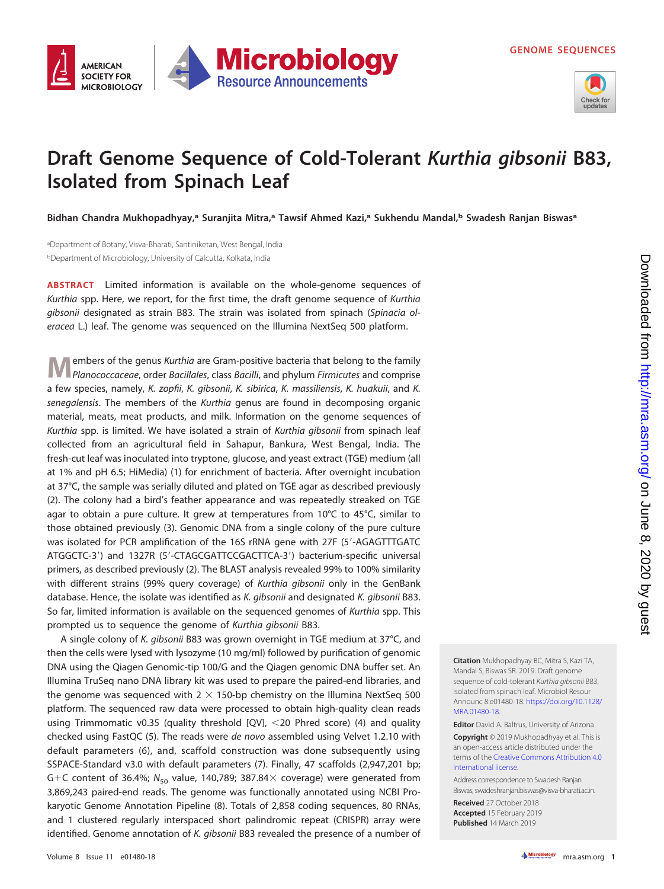

## **Draft Genome Sequence of Cold-Tolerant Kurthia gibsonii B83, Isolated from Spinach Leaf**

**Microbiology** 

**Resource Announcements** 

**Bidhan Chandra Mukhopadhyay,a Suranjita Mitra,a Tawsif Ahmed Kazi,a Sukhendu Mandal,b Swadesh Ranjan Biswasa**

a Department of Botany, Visva-Bharati, Santiniketan, West Bengal, India <sup>b</sup>Department of Microbiology, University of Calcutta, Kolkata, India

**AMERICAN SOCIETY FOR** 

**MICROBIOLOGY** 

**ABSTRACT** Limited information is available on the whole-genome sequences of Kurthia spp. Here, we report, for the first time, the draft genome sequence of Kurthia gibsonii designated as strain B83. The strain was isolated from spinach (Spinacia oleracea L.) leaf. The genome was sequenced on the Illumina NextSeq 500 platform.

**M**embers of the genus Kurthia are Gram-positive bacteria that belong to the family<br>
Planococcaceae, order Bacillales, class Bacilli, and phylum Firmicutes and comprise a few species, namely, K. zopfii, K. gibsonii, K. sibirica, K. massiliensis, K. huakuii, and K. senegalensis. The members of the Kurthia genus are found in decomposing organic material, meats, meat products, and milk. Information on the genome sequences of Kurthia spp. is limited. We have isolated a strain of Kurthia gibsonii from spinach leaf collected from an agricultural field in Sahapur, Bankura, West Bengal, India. The fresh-cut leaf was inoculated into tryptone, glucose, and yeast extract (TGE) medium (all at 1% and pH 6.5; HiMedia) [\(1\)](#page-1-0) for enrichment of bacteria. After overnight incubation at 37°C, the sample was serially diluted and plated on TGE agar as described previously [\(2\)](#page-1-1). The colony had a bird's feather appearance and was repeatedly streaked on TGE agar to obtain a pure culture. It grew at temperatures from  $10^{\circ}$ C to  $45^{\circ}$ C, similar to those obtained previously [\(3\)](#page-1-2). Genomic DNA from a single colony of the pure culture was isolated for PCR amplification of the 16S rRNA gene with 27F (5'-AGAGTTTGATC ATGGCTC-3') and 1327R (5'-CTAGCGATTCCGACTTCA-3') bacterium-specific universal primers, as described previously [\(2\)](#page-1-1). The BLAST analysis revealed 99% to 100% similarity with different strains (99% query coverage) of Kurthia gibsonii only in the GenBank database. Hence, the isolate was identified as K. gibsonii and designated K. gibsonii B83. So far, limited information is available on the sequenced genomes of Kurthia spp. This prompted us to sequence the genome of Kurthia gibsonii B83.

A single colony of K. gibsonii B83 was grown overnight in TGE medium at 37°C, and then the cells were lysed with lysozyme (10 mg/ml) followed by purification of genomic DNA using the Qiagen Genomic-tip 100/G and the Qiagen genomic DNA buffer set. An Illumina TruSeq nano DNA library kit was used to prepare the paired-end libraries, and the genome was sequenced with  $2 \times 150$ -bp chemistry on the Illumina NextSeq 500 platform. The sequenced raw data were processed to obtain high-quality clean reads using Trimmomatic v0.35 (quality threshold [QV], <20 Phred score) [\(4\)](#page-1-3) and quality checked using FastQC [\(5\)](#page-1-4). The reads were de novo assembled using Velvet 1.2.10 with default parameters [\(6\)](#page-1-5), and, scaffold construction was done subsequently using SSPACE-Standard v3.0 with default parameters [\(7\)](#page-1-6). Finally, 47 scaffolds (2,947,201 bp; G+C content of 36.4%;  $N_{50}$  value, 140,789; 387.84 $\times$  coverage) were generated from 3,869,243 paired-end reads. The genome was functionally annotated using NCBI Prokaryotic Genome Annotation Pipeline [\(8\)](#page-1-7). Totals of 2,858 coding sequences, 80 RNAs, and 1 clustered regularly interspaced short palindromic repeat (CRISPR) array were identified. Genome annotation of K. gibsonii B83 revealed the presence of a number of

**Citation** Mukhopadhyay BC, Mitra S, Kazi TA, Mandal S, Biswas SR. 2019. Draft genome sequence of cold-tolerant Kurthia gibsonii B83, isolated from spinach leaf. Microbiol Resour Announc 8:e01480-18. [https://doi.org/10.1128/](https://doi.org/10.1128/MRA.01480-18) [MRA.01480-18.](https://doi.org/10.1128/MRA.01480-18)

**Editor** David A. Baltrus, University of Arizona **Copyright** © 2019 Mukhopadhyay et al. This is an open-access article distributed under the terms of the [Creative Commons Attribution 4.0](https://creativecommons.org/licenses/by/4.0/) [International](https://creativecommons.org/licenses/by/4.0/) license.

Address correspondence to Swadesh Ranjan Biswas[, swadeshranjan.biswas@visva-bharati.ac.in.](mailto:swadeshranjan.biswas@visva-bharati.ac.in)

**Received** 27 October 2018 **Accepted** 15 February 2019 **Published** 14 March 2019